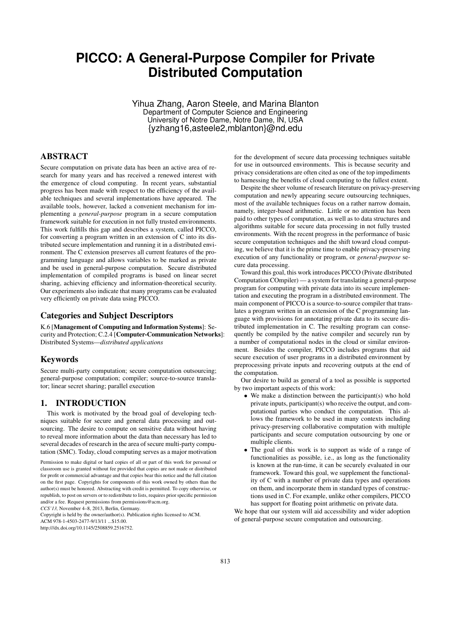# **PICCO: A General-Purpose Compiler for Private Distributed Computation**

Yihua Zhang, Aaron Steele, and Marina Blanton Department of Computer Science and Engineering University of Notre Dame, Notre Dame, IN, USA {yzhang16,asteele2,mblanton}@nd.edu

## ABSTRACT

Secure computation on private data has been an active area of research for many years and has received a renewed interest with the emergence of cloud computing. In recent years, substantial progress has been made with respect to the efficiency of the available techniques and several implementations have appeared. The available tools, however, lacked a convenient mechanism for implementing a *general-purpose* program in a secure computation framework suitable for execution in not fully trusted environments. This work fulfills this gap and describes a system, called PICCO, for converting a program written in an extension of C into its distributed secure implementation and running it in a distributed environment. The C extension preserves all current features of the programming language and allows variables to be marked as private and be used in general-purpose computation. Secure distributed implementation of compiled programs is based on linear secret sharing, achieving efficiency and information-theoretical security. Our experiments also indicate that many programs can be evaluated very efficiently on private data using PICCO.

## Categories and Subject Descriptors

K.6 [Management of Computing and Information Systems]: Security and Protection; C.2.4 [Computer-Communication Networks]: Distributed Systems—*distributed applications*

## Keywords

Secure multi-party computation; secure computation outsourcing; general-purpose computation; compiler; source-to-source translator; linear secret sharing; parallel execution

## 1. INTRODUCTION

This work is motivated by the broad goal of developing techniques suitable for secure and general data processing and outsourcing. The desire to compute on sensitive data without having to reveal more information about the data than necessary has led to several decades of research in the area of secure multi-party computation (SMC). Today, cloud computing serves as a major motivation

Permission to make digital or hard copies of all or part of this work for personal or classroom use is granted without fee provided that copies are not made or distributed for profit or commercial advantage and that copies bear this notice and the full citation on the first page. Copyrights for components of this work owned by others than the author(s) must be honored. Abstracting with credit is permitted. To copy otherwise, or republish, to post on servers or to redistribute to lists, requires prior specific permission and/or a fee. Request permissions from permissions@acm.org.

*CCS'13,* November 4–8, 2013, Berlin, Germany.

Copyright is held by the owner/author(s). Publication rights licensed to ACM.

ACM 978-1-4503-2477-9/13/11 ...\$15.00.

http:///dx.doi.org/10.1145/2508859.2516752.

for the development of secure data processing techniques suitable for use in outsourced environments. This is because security and privacy considerations are often cited as one of the top impediments to harnessing the benefits of cloud computing to the fullest extent.

Despite the sheer volume of research literature on privacy-preserving computation and newly appearing secure outsourcing techniques, most of the available techniques focus on a rather narrow domain, namely, integer-based arithmetic. Little or no attention has been paid to other types of computation, as well as to data structures and algorithms suitable for secure data processing in not fully trusted environments. With the recent progress in the performance of basic secure computation techniques and the shift toward cloud computing, we believe that it is the prime time to enable privacy-preserving execution of any functionality or program, or *general-purpose* secure data processing.

Toward this goal, this work introduces PICCO (Private dIstributed Computation COmpiler) — a system for translating a general-purpose program for computing with private data into its secure implementation and executing the program in a distributed environment. The main component of PICCO is a source-to-source compiler that translates a program written in an extension of the C programming language with provisions for annotating private data to its secure distributed implementation in C. The resulting program can consequently be compiled by the native compiler and securely run by a number of computational nodes in the cloud or similar environment. Besides the compiler, PICCO includes programs that aid secure execution of user programs in a distributed environment by preprocessing private inputs and recovering outputs at the end of the computation.

Our desire to build as general of a tool as possible is supported by two important aspects of this work:

- We make a distinction between the participant(s) who hold private inputs, participant(s) who receive the output, and computational parties who conduct the computation. This allows the framework to be used in many contexts including privacy-preserving collaborative computation with multiple participants and secure computation outsourcing by one or multiple clients.
- The goal of this work is to support as wide of a range of functionalities as possible, i.e., as long as the functionality is known at the run-time, it can be securely evaluated in our framework. Toward this goal, we supplement the functionality of C with a number of private data types and operations on them, and incorporate them in standard types of constructions used in C. For example, unlike other compilers, PICCO has support for floating point arithmetic on private data.

We hope that our system will aid accessibility and wider adoption of general-purpose secure computation and outsourcing.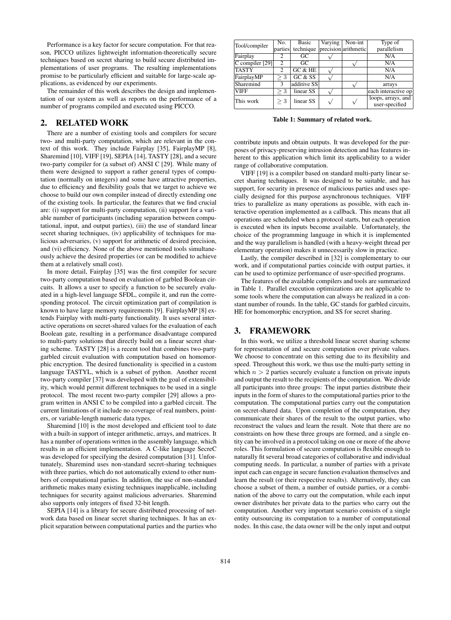Performance is a key factor for secure computation. For that reason, PICCO utilizes lightweight information-theoretically secure techniques based on secret sharing to build secure distributed implementations of user programs. The resulting implementations promise to be particularly efficient and suitable for large-scale applications, as evidenced by our experiments.

The remainder of this work describes the design and implementation of our system as well as reports on the performance of a number of programs compiled and executed using PICCO.

## 2. RELATED WORK

There are a number of existing tools and compilers for secure two- and multi-party computation, which are relevant in the context of this work. They include Fairplay [35], FairplayMP [8], Sharemind [10], VIFF [19], SEPIA [14], TASTY [28], and a secure two-party compiler for (a subset of) ANSI C [29]. While many of them were designed to support a rather general types of computation (normally on integers) and some have attractive properties, due to efficiency and flexibility goals that we target to achieve we choose to build our own compiler instead of directly extending one of the existing tools. In particular, the features that we find crucial are: (i) support for multi-party computation, (ii) support for a variable number of participants (including separation between computational, input, and output parties), (iii) the use of standard linear secret sharing techniques, (iv) applicability of techniques for malicious adversaries, (v) support for arithmetic of desired precision, and (vi) efficiency. None of the above mentioned tools simultaneously achieve the desired properties (or can be modified to achieve them at a relatively small cost).

In more detail, Fairplay [35] was the first compiler for secure two-party computation based on evaluation of garbled Boolean circuits. It allows a user to specify a function to be securely evaluated in a high-level language SFDL, compile it, and run the corresponding protocol. The circuit optimization part of compilation is known to have large memory requirements [9]. FairplayMP [8] extends Fairplay with multi-party functionality. It uses several interactive operations on secret-shared values for the evaluation of each Boolean gate, resulting in a performance disadvantage compared to multi-party solutions that directly build on a linear secret sharing scheme. TASTY [28] is a recent tool that combines two-party garbled circuit evaluation with computation based on homomorphic encryption. The desired functionality is specified in a custom language TASTYL, which is a subset of python. Another recent two-party compiler [37] was developed with the goal of extensibility, which would permit different techniques to be used in a single protocol. The most recent two-party compiler [29] allows a program written in ANSI C to be compiled into a garbled circuit. The current limitations of it include no coverage of real numbers, pointers, or variable-length numeric data types.

Sharemind [10] is the most developed and efficient tool to date with a built-in support of integer arithmetic, arrays, and matrices. It has a number of operations written in the assembly language, which results in an efficient implementation. A C-like language SecreC was developed for specifying the desired computation [31]. Unfortunately, Sharemind uses non-standard secret-sharing techniques with three parties, which do not automatically extend to other numbers of computational parties. In addition, the use of non-standard arithmetic makes many existing techniques inapplicable, including techniques for security against malicious adversaries. Sharemind also supports only integers of fixed 32-bit length.

SEPIA [14] is a library for secure distributed processing of network data based on linear secret sharing techniques. It has an explicit separation between computational parties and the parties who

| Tool/compiler   | No.            | Basic       | Varying | Non-int              | Type of                              |  |
|-----------------|----------------|-------------|---------|----------------------|--------------------------------------|--|
|                 | parties        | technique   |         | precision arithmetic | parallelism                          |  |
| Fairplay        |                | GC          |         |                      | N/A                                  |  |
| C compiler [29] | $\overline{c}$ | GC          |         |                      | N/A                                  |  |
| <b>TASTY</b>    | 2              | GC & HE     |         |                      | N/A                                  |  |
| FairplayMP      | >3             | GC & SS     |         |                      | N/A                                  |  |
| Sharemind       | 3              | additive SS |         |                      | arrays                               |  |
| <b>VIFF</b>     | > 3            | linear SS   |         |                      | each interactive op                  |  |
| This work       | $>$ 3          | linear SS   |         |                      | loops, arrays, and<br>user-specified |  |

Table 1: Summary of related work.

contribute inputs and obtain outputs. It was developed for the purposes of privacy-preserving intrusion detection and has features inherent to this application which limit its applicability to a wider range of collaborative computation.

VIFF [19] is a compiler based on standard multi-party linear secret sharing techniques. It was designed to be suitable, and has support, for security in presence of malicious parties and uses specially designed for this purpose asynchronous techniques. VIFF tries to parallelize as many operations as possible, with each interactive operation implemented as a callback. This means that all operations are scheduled when a protocol starts, but each operation is executed when its inputs become available. Unfortunately, the choice of the programming language in which it is implemented and the way parallelism is handled (with a heavy-weight thread per elementary operation) makes it unnecessarily slow in practice.

Lastly, the compiler described in [32] is complementary to our work, and if computational parties coincide with output parties, it can be used to optimize performance of user-specified programs.

The features of the available compilers and tools are summarized in Table 1. Parallel execution optimizations are not applicable to some tools where the computation can always be realized in a constant number of rounds. In the table, GC stands for garbled circuits, HE for homomorphic encryption, and SS for secret sharing.

## 3. FRAMEWORK

In this work, we utilize a threshold linear secret sharing scheme for representation of and secure computation over private values. We choose to concentrate on this setting due to its flexibility and speed. Throughout this work, we thus use the multi-party setting in which  $n > 2$  parties securely evaluate a function on private inputs and output the result to the recipients of the computation. We divide all participants into three groups: The input parties distribute their inputs in the form of shares to the computational parties prior to the computation. The computational parties carry out the computation on secret-shared data. Upon completion of the computation, they communicate their shares of the result to the output parties, who reconstruct the values and learn the result. Note that there are no constraints on how these three groups are formed, and a single entity can be involved in a protocol taking on one or more of the above roles. This formulation of secure computation is flexible enough to naturally fit several broad categories of collaborative and individual computing needs. In particular, a number of parties with a private input each can engage in secure function evaluation themselves and learn the result (or their respective results). Alternatively, they can choose a subset of them, a number of outside parties, or a combination of the above to carry out the computation, while each input owner distributes her private data to the parties who carry out the computation. Another very important scenario consists of a single entity outsourcing its computation to a number of computational nodes. In this case, the data owner will be the only input and output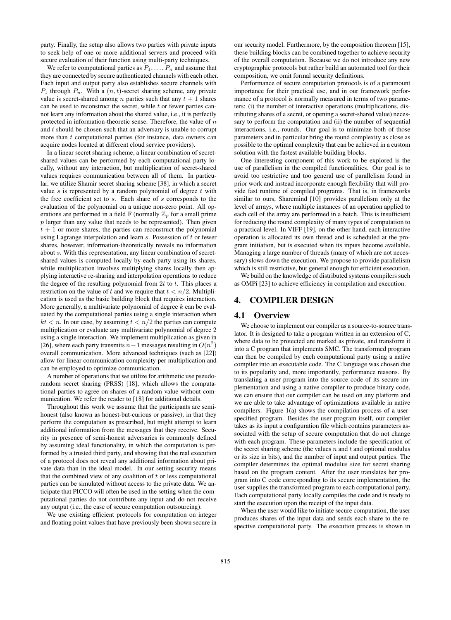party. Finally, the setup also allows two parties with private inputs to seek help of one or more additional servers and proceed with secure evaluation of their function using multi-party techniques.

We refer to computational parties as  $P_1, \ldots, P_n$  and assume that they are connected by secure authenticated channels with each other. Each input and output party also establishes secure channels with  $P_1$  through  $P_n$ . With a  $(n, t)$ -secret sharing scheme, any private value is secret-shared among *n* parties such that any  $t + 1$  shares can be used to reconstruct the secret, while  $t$  or fewer parties cannot learn any information about the shared value, i.e., it is perfectly protected in information-theoretic sense. Therefore, the value of  $n$ and  $t$  should be chosen such that an adversary is unable to corrupt more than t computational parties (for instance, data owners can acquire nodes located at different cloud service providers).

In a linear secret sharing scheme, a linear combination of secretshared values can be performed by each computational party locally, without any interaction, but multiplication of secret-shared values requires communication between all of them. In particular, we utilize Shamir secret sharing scheme [38], in which a secret value s is represented by a random polynomial of degree  $t$  with the free coefficient set to  $s$ . Each share of  $s$  corresponds to the evaluation of the polynomial on a unique non-zero point. All operations are performed in a field  $\mathbb F$  (normally  $\mathbb Z_p$  for a small prime  $p$  larger than any value that needs to be represented). Then given  $t + 1$  or more shares, the parties can reconstruct the polynomial using Lagrange interpolation and learn s. Possession of t or fewer shares, however, information-theoretically reveals no information about s. With this representation, any linear combination of secretshared values is computed locally by each party using its shares, while multiplication involves multiplying shares locally then applying interactive re-sharing and interpolation operations to reduce the degree of the resulting polynomial from  $2t$  to  $t$ . This places a restriction on the value of t and we require that  $t < n/2$ . Multiplication is used as the basic building block that requires interaction. More generally, a multivariate polynomial of degree  $k$  can be evaluated by the computational parties using a single interaction when  $kt < n$ . In our case, by assuming  $t < n/2$  the parties can compute multiplication or evaluate any multivariate polynomial of degree 2 using a single interaction. We implement multiplication as given in [26], where each party transmits  $n-1$  messages resulting in  $O(n^2)$ overall communication. More advanced techniques (such as [22]) allow for linear communication complexity per multiplication and can be employed to optimize communication.

A number of operations that we utilize for arithmetic use pseudorandom secret sharing (PRSS) [18], which allows the computational parties to agree on shares of a random value without communication. We refer the reader to [18] for additional details.

Throughout this work we assume that the participants are semihonest (also known as honest-but-curious or passive), in that they perform the computation as prescribed, but might attempt to learn additional information from the messages that they receive. Security in presence of semi-honest adversaries is commonly defined by assuming ideal functionality, in which the computation is performed by a trusted third party, and showing that the real execution of a protocol does not reveal any additional information about private data than in the ideal model. In our setting security means that the combined view of any coalition of  $t$  or less computational parties can be simulated without access to the private data. We anticipate that PICCO will often be used in the setting when the computational parties do not contribute any input and do not receive any output (i.e., the case of secure computation outsourcing).

We use existing efficient protocols for computation on integer and floating point values that have previously been shown secure in our security model. Furthermore, by the composition theorem [15], these building blocks can be combined together to achieve security of the overall computation. Because we do not introduce any new cryptographic protocols but rather build an automated tool for their composition, we omit formal security definitions.

Performance of secure computation protocols is of a paramount importance for their practical use, and in our framework performance of a protocol is normally measured in terms of two parameters: (i) the number of interactive operations (multiplications, distributing shares of a secret, or opening a secret-shared value) necessary to perform the computation and (ii) the number of sequential interactions, i.e., rounds. Our goal is to minimize both of those parameters and in particular bring the round complexity as close as possible to the optimal complexity that can be achieved in a custom solution with the fastest available building blocks.

One interesting component of this work to be explored is the use of parallelism in the compiled functionalities. Our goal is to avoid too restrictive and too general use of parallelism found in prior work and instead incorporate enough flexibility that will provide fast runtime of compiled programs. That is, in frameworks similar to ours, Sharemind [10] provides parallelism only at the level of arrays, where multiple instances of an operation applied to each cell of the array are performed in a batch. This is insufficient for reducing the round complexity of many types of computation to a practical level. In VIFF [19], on the other hand, each interactive operation is allocated its own thread and is scheduled at the program initiation, but is executed when its inputs become available. Managing a large number of threads (many of which are not necessary) slows down the execution. We propose to provide parallelism which is still restrictive, but general enough for efficient execution.

We build on the knowledge of distributed systems compilers such as OMPi [23] to achieve efficiency in compilation and execution.

#### 4. COMPILER DESIGN

#### 4.1 Overview

We choose to implement our compiler as a source-to-source translator. It is designed to take a program written in an extension of C, where data to be protected are marked as private, and transform it into a C program that implements SMC. The transformed program can then be compiled by each computational party using a native compiler into an executable code. The C language was chosen due to its popularity and, more importantly, performance reasons. By translating a user program into the source code of its secure implementation and using a native compiler to produce binary code, we can ensure that our compiler can be used on any platform and we are able to take advantage of optimizations available in native compilers. Figure 1(a) shows the compilation process of a userspecified program. Besides the user program itself, our compiler takes as its input a configuration file which contains parameters associated with the setup of secure computation that do not change with each program. These parameters include the specification of the secret sharing scheme (the values  $n$  and  $t$  and optional modulus or its size in bits), and the number of input and output parties. The compiler determines the optimal modulus size for secret sharing based on the program content. After the user translates her program into C code corresponding to its secure implementation, the user supplies the transformed program to each computational party. Each computational party locally compiles the code and is ready to start the execution upon the receipt of the input data.

When the user would like to initiate secure computation, the user produces shares of the input data and sends each share to the respective computational party. The execution process is shown in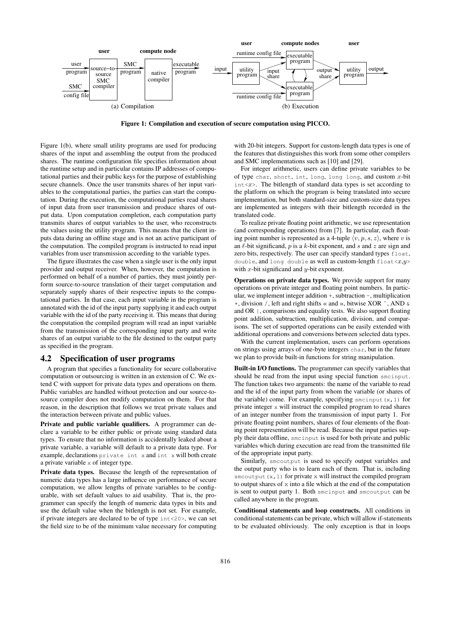

Figure 1: Compilation and execution of secure computation using PICCO.

Figure 1(b), where small utility programs are used for producing shares of the input and assembling the output from the produced shares. The runtime configuration file specifies information about the runtime setup and in particular contains IP addresses of computational parties and their public keys for the purpose of establishing secure channels. Once the user transmits shares of her input variables to the computational parties, the parties can start the computation. During the execution, the computational parties read shares of input data from user transmission and produce shares of output data. Upon computation completion, each computation party transmits shares of output variables to the user, who reconstructs the values using the utility program. This means that the client inputs data during an offline stage and is not an active participant of the computation. The compiled program is instructed to read input variables from user transmission according to the variable types.

The figure illustrates the case when a single user is the only input provider and output receiver. When, however, the computation is performed on behalf of a number of parties, they must jointly perform source-to-source translation of their target computation and separately supply shares of their respective inputs to the computational parties. In that case, each input variable in the program is annotated with the id of the input party supplying it and each output variable with the id of the party receiving it. This means that during the computation the compiled program will read an input variable from the transmission of the corresponding input party and write shares of an output variable to the file destined to the output party as specified in the program.

#### 4.2 Specification of user programs

A program that specifies a functionality for secure collaborative computation or outsourcing is written in an extension of C. We extend C with support for private data types and operations on them. Public variables are handled without protection and our source-tosource compiler does not modify computation on them. For that reason, in the description that follows we treat private values and the interaction between private and public values.

Private and public variable qualifiers. A programmer can declare a variable to be either public or private using standard data types. To ensure that no information is accidentally leaked about a private variable, a variable will default to a private data type. For example, declarations private int x and int x will both create a private variable x of integer type.

Private data types. Because the length of the representation of numeric data types has a large influence on performance of secure computation, we allow lengths of private variables to be configurable, with set default values to aid usability. That is, the programmer can specify the length of numeric data types in bits and use the default value when the bitlength is not set. For example, if private integers are declared to be of type int<20>, we can set the field size to be of the minimum value necessary for computing with 20-bit integers. Support for custom-length data types is one of the features that distinguishes this work from some other compilers and SMC implementations such as [10] and [29].

For integer arithmetic, users can define private variables to be of type char, short, int, long, long long, and custom  $x$ -bit  $int  $x$$ . The bitlength of standard data types is set according to the platform on which the program is being translated into secure implementation, but both standard-size and custom-size data types are implemented as integers with their bitlength recorded in the translated code.

To realize private floating point arithmetic, we use representation (and corresponding operations) from [7]. In particular, each floating point number is represented as a 4-tuple  $\langle v, p, s, z \rangle$ , where v is an  $\ell$ -bit significand, p is a k-bit exponent, and s and z are sign and zero bits, respectively. The user can specify standard types float, double, and long double as well as custom-length float<x,y> with x-bit significand and  $y$ -bit exponent.

Operations on private data types. We provide support for many operations on private integer and floating point numbers. In particular, we implement integer addition +, subtraction -, multiplication \*, division /, left and right shifts « and », bitwise XOR ˆ, AND & and OR |, comparisons and equality tests. We also support floating point addition, subtraction, multiplication, division, and comparisons. The set of supported operations can be easily extended with additional operations and conversions between selected data types.

With the current implementation, users can perform operations on strings using arrays of one-byte integers char, but in the future we plan to provide built-in functions for string manipulation.

Built-in I/O functions. The programmer can specify variables that should be read from the input using special function smcinput. The function takes two arguments: the name of the variable to read and the id of the input party from whom the variable (or shares of the variable) come. For example, specifying smcinput  $(x, 1)$  for private integer x will instruct the compiled program to read shares of an integer number from the transmission of input party 1. For private floating point numbers, shares of four elements of the floating point representation will be read. Because the input parties supply their data offline, smcinput is used for both private and public variables which during execution are read from the transmitted file of the appropriate input party.

Similarly, smcoutput is used to specify output variables and the output party who is to learn each of them. That is, including smcoutput  $(x, 1)$  for private x will instruct the compiled program to output shares of  $x$  into a file which at the end of the computation is sent to output party 1. Both smcinput and smcoutput can be called anywhere in the program.

Conditional statements and loop constructs. All conditions in conditional statements can be private, which will allow if-statements to be evaluated obliviously. The only exception is that in loops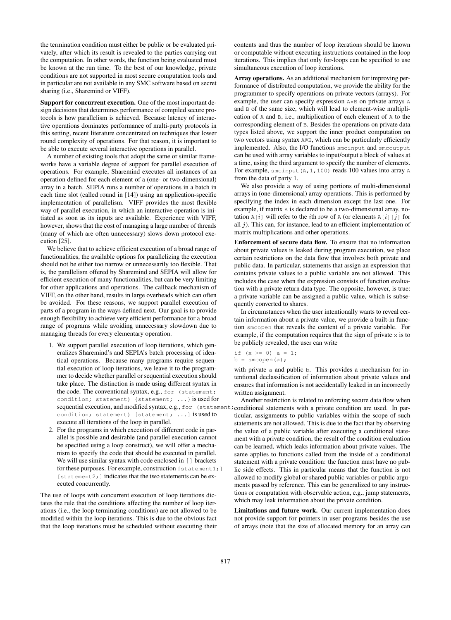the termination condition must either be public or be evaluated privately, after which its result is revealed to the parties carrying out the computation. In other words, the function being evaluated must be known at the run time. To the best of our knowledge, private conditions are not supported in most secure computation tools and in particular are not available in any SMC software based on secret sharing (i.e., Sharemind or VIFF).

Support for concurrent execution. One of the most important design decisions that determines performance of compiled secure protocols is how parallelism is achieved. Because latency of interactive operations dominates performance of multi-party protocols in this setting, recent literature concentrated on techniques that lower round complexity of operations. For that reason, it is important to be able to execute several interactive operations in parallel.

A number of existing tools that adopt the same or similar frameworks have a variable degree of support for parallel execution of operations. For example, Sharemind executes all instances of an operation defined for each element of a (one- or two-dimensional) array in a batch. SEPIA runs a number of operations in a batch in each time slot (called round in [14]) using an application-specific implementation of parallelism. VIFF provides the most flexible way of parallel execution, in which an interactive operation is initiated as soon as its inputs are available. Experience with VIFF, however, shows that the cost of managing a large number of threads (many of which are often unnecessary) slows down protocol execution [25].

We believe that to achieve efficient execution of a broad range of functionalities, the available options for parallelizing the execution should not be either too narrow or unnecessarily too flexible. That is, the parallelism offered by Sharemind and SEPIA will allow for efficient execution of many functionalities, but can be very limiting for other applications and operations. The callback mechanism of VIFF, on the other hand, results in large overheads which can often be avoided. For these reasons, we support parallel execution of parts of a program in the ways defined next. Our goal is to provide enough flexibility to achieve very efficient performance for a broad range of programs while avoiding unnecessary slowdown due to managing threads for every elementary operation.

- 1. We support parallel execution of loop iterations, which generalizes Sharemind's and SEPIA's batch processing of identical operations. Because many programs require sequential execution of loop iterations, we leave it to the programmer to decide whether parallel or sequential execution should take place. The distinction is made using different syntax in the code. The conventional syntax, e.g., for (statement; condition; statement) {statement; ...} is used for condition; statement) [statement; ...] is used to execute all iterations of the loop in parallel.
- 2. For the programs in which execution of different code in parallel is possible and desirable (and parallel execution cannot be specified using a loop construct), we will offer a mechanism to specify the code that should be executed in parallel. We will use similar syntax with code enclosed in [] brackets for these purposes. For example, construction [statement1;] [statement2; ] indicates that the two statements can be executed concurrently.

The use of loops with concurrent execution of loop iterations dictates the rule that the conditions affecting the number of loop iterations (i.e., the loop terminating conditions) are not allowed to be modified within the loop iterations. This is due to the obvious fact that the loop iterations must be scheduled without executing their contents and thus the number of loop iterations should be known or computable without executing instructions contained in the loop iterations. This implies that only for-loops can be specified to use simultaneous execution of loop iterations.

Array operations. As an additional mechanism for improving performance of distributed computation, we provide the ability for the programmer to specify operations on private vectors (arrays). For example, the user can specify expression A\*B on private arrays A and  $\overline{B}$  of the same size, which will lead to element-wise multiplication of A and B, i.e., multiplication of each element of A to the corresponding element of B. Besides the operations on private data types listed above, we support the inner product computation on two vectors using syntax A@B, which can be particularly efficiently implemented. Also, the I/O functions smcinput and smcoutput can be used with array variables to input/output a block of values at a time, using the third argument to specify the number of elements. For example, smcinput (A, 1, 100) reads 100 values into array A from the data of party 1.

We also provide a way of using portions of multi-dimensional arrays in (one-dimensional) array operations. This is performed by specifying the index in each dimension except the last one. For example, if matrix A is declared to be a two-dimensional array, notation  $A[i]$  will refer to the *i*th row of A (or elements  $A[i][j]$  for all  $j$ ). This can, for instance, lead to an efficient implementation of matrix multiplications and other operations.

Enforcement of secure data flow. To ensure that no information about private values is leaked during program execution, we place certain restrictions on the data flow that involves both private and public data. In particular, statements that assign an expression that contains private values to a public variable are not allowed. This includes the case when the expression consists of function evaluation with a private return data type. The opposite, however, is true: a private variable can be assigned a public value, which is subsequently converted to shares.

In circumstances when the user intentionally wants to reveal certain information about a private value, we provide a built-in function smcopen that reveals the content of a private variable. For example, if the computation requires that the sign of private  $x$  is to be publicly revealed, the user can write

## if  $(x \ge 0)$  a = 1;

 $b =$  smcopen(a);

with private a and public b. This provides a mechanism for intentional declassification of information about private values and ensures that information is not accidentally leaked in an incorrectly written assignment.

sequential execution, and modified syntax, e.g., for (statement; conditional statements with a private condition are used. In par-Another restriction is related to enforcing secure data flow when ticular, assignments to public variables within the scope of such statements are not allowed. This is due to the fact that by observing the value of a public variable after executing a conditional statement with a private condition, the result of the condition evaluation can be learned, which leaks information about private values. The same applies to functions called from the inside of a conditional statement with a private condition: the function must have no public side effects. This in particular means that the function is not allowed to modify global or shared public variables or public arguments passed by reference. This can be generalized to any instructions or computation with observable action, e.g., jump statements, which may leak information about the private condition.

> Limitations and future work. Our current implementation does not provide support for pointers in user programs besides the use of arrays (note that the size of allocated memory for an array can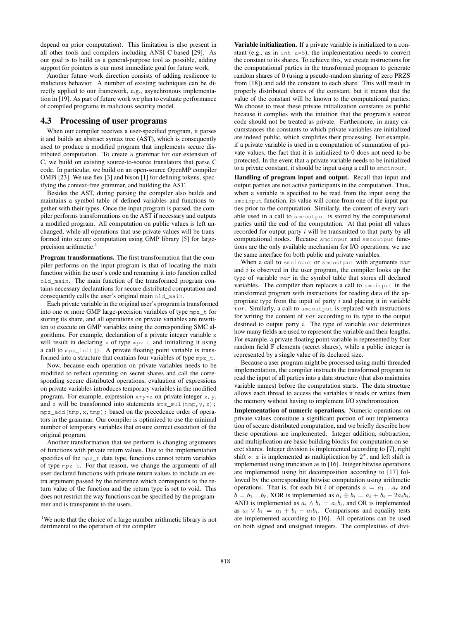depend on prior computation). This limitation is also present in all other tools and compilers including ANSI C-based [29]. As our goal is to build as a general-purpose tool as possible, adding support for pointers is our most immediate goal for future work.

Another future work direction consists of adding resilience to malicious behavior. A number of existing techniques can be directly applied to our framework, e.g., asynchronous implementation in [19]. As part of future work we plan to evaluate performance of compiled programs in malicious security model.

#### 4.3 Processing of user programs

When our compiler receives a user-specified program, it parses it and builds an abstract syntax tree (AST), which is consequently used to produce a modified program that implements secure distributed computation. To create a grammar for our extension of C, we build on existing source-to-source translators that parse C code. In particular, we build on an open-source OpenMP compiler OMPi [23]. We use flex [3] and bison [1] for defining tokens, specifying the context-free grammar, and building the AST.

Besides the AST, during parsing the compiler also builds and maintains a symbol table of defined variables and functions together with their types. Once the input program is parsed, the compiler performs transformations on the AST if necessary and outputs a modified program. All computation on public values is left unchanged, while all operations that use private values will be transformed into secure computation using GMP library [5] for largeprecision arithmetic. $<sup>1</sup>$ </sup>

Program transformations. The first transformation that the compiler performs on the input program is that of locating the main function within the user's code and renaming it into function called old main. The main function of the transformed program contains necessary declarations for secure distributed computation and consequently calls the user's original main old\_main.

Each private variable in the original user's program is transformed into one or more GMP large-precision variables of type mpz\_t for storing its share, and all operations on private variables are rewritten to execute on GMP variables using the corresponding SMC algorithms. For example, declaration of a private integer variable x will result in declaring  $x$  of type  $mpz$  and initializing it using a call to mpz\_init(). A private floating point variable is transformed into a structure that contains four variables of type mpz\_t.

Now, because each operation on private variables needs to be modified to reflect operating on secret shares and call the corresponding secure distributed operations, evaluation of expressions on private variables introduces temporary variables in the modified program. For example, expression  $x+y*z$  on private integer  $x, y$ , and z will be transformed into statements  $mpz_m$ ul(tmp, y, z); mpz\_add(tmp,x,tmp); based on the precedence order of operators in the grammar. Our compiler is optimized to use the minimal number of temporary variables that ensure correct execution of the original program.

Another transformation that we perform is changing arguments of functions with private return values. Due to the implementation specifics of the mpz\_t data type, functions cannot return variables of type mpz t. For that reason, we change the arguments of all user-declared functions with private return values to include an extra argument passed by the reference which corresponds to the return value of the function and the return type is set to void. This does not restrict the way functions can be specified by the programmer and is transparent to the users.

Variable initialization. If a private variable is initialized to a constant (e.g., as in  $int_{a=5}$ ), the implementation needs to convert the constant to its shares. To achieve this, we create instructions for the computational parties in the transformed program to generate random shares of 0 (using a pseudo-random sharing of zero PRZS from [18]) and add the constant to each share. This will result in properly distributed shares of the constant, but it means that the value of the constant will be known to the computational parties. We choose to treat these private initialization constants as public because it complies with the intuition that the program's source code should not be treated as private. Furthermore, in many circumstances the constants to which private variables are initialized are indeed public, which simplifies their processing. For example, if a private variable is used in a computation of summation of private values, the fact that it is initialized to 0 does not need to be protected. In the event that a private variable needs to be initialized to a private constant, it should be input using a call to smcinput.

Handling of program input and output. Recall that input and output parties are not active participants in the computation. Thus, when a variable is specified to be read from the input using the smcinput function, its value will come from one of the input parties prior to the computation. Similarly, the content of every variable used in a call to smcoutput is stored by the computational parties until the end of the computation. At that point all values recorded for output party  $i$  will be transmitted to that party by all computational nodes. Because smcinput and smcoutput functions are the only available mechanism for I/O operations, we use the same interface for both public and private variables.

When a call to smcinput or smcoutput with arguments var and  $i$  is observed in the user program, the compiler looks up the type of variable var in the symbol table that stores all declared variables. The compiler than replaces a call to smcinput in the transformed program with instructions for reading data of the appropriate type from the input of party  $i$  and placing it in variable var. Similarly, a call to smcoutput is replaced with instructions for writing the content of var according to its type to the output destined to output party  $i$ . The type of variable  $var$  determines how many fields are used to represent the variable and their lengths. For example, a private floating point variable is represented by four random field  $\mathbb F$  elements (secret shares), while a public integer is represented by a single value of its declared size.

Because a user program might be processed using multi-threaded implementation, the compiler instructs the transformed program to read the input of all parties into a data structure (that also maintains variable names) before the computation starts. The data structure allows each thread to access the variables it reads or writes from the memory without having to implement I/O synchronization.

Implementation of numeric operations. Numeric operations on private values constitute a significant portion of our implementation of secure distributed computation, and we briefly describe how these operations are implemented. Integer addition, subtraction, and multiplication are basic building blocks for computation on secret shares. Integer division is implemented according to [7], right shift «  $x$  is implemented as multiplication by  $2^x$ , and left shift is implemented using truncation as in [16]. Integer bitwise operations are implemented using bit decomposition according to [17] followed by the corresponding bitwise computation using arithmetic operations. That is, for each bit i of operands  $a = a_1... a_\ell$  and  $b = b_1 \dots b_\ell$ , XOR is implemented as  $a_i \oplus b_i = a_i + b_i - 2a_i b_i$ , AND is implemented as  $a_i \wedge b_i = a_i b_i$ , and OR is implemented as  $a_i \vee b_i = a_i + b_i - a_i b_i$ . Comparisons and equality tests are implemented according to [16]. All operations can be used on both signed and unsigned integers. The complexities of divi-

<sup>&</sup>lt;sup>1</sup>We note that the choice of a large number arithmetic library is not detrimental to the operation of the compiler.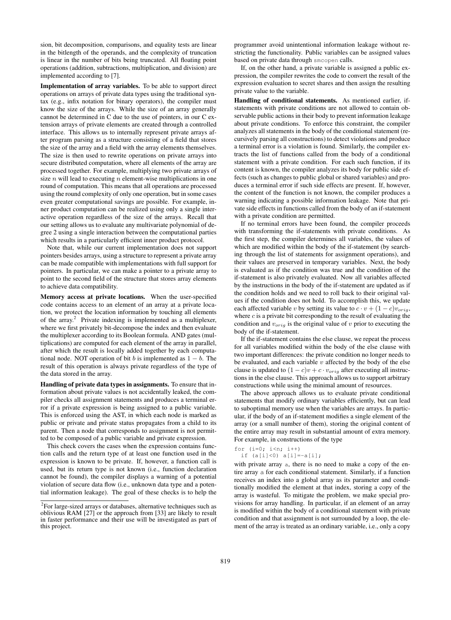sion, bit decomposition, comparisons, and equality tests are linear in the bitlength of the operands, and the complexity of truncation is linear in the number of bits being truncated. All floating point operations (addition, subtractions, multiplication, and division) are implemented according to [7].

Implementation of array variables. To be able to support direct operations on arrays of private data types using the traditional syntax (e.g., infix notation for binary operators), the compiler must know the size of the arrays. While the size of an array generally cannot be determined in C due to the use of pointers, in our C extension arrays of private elements are created through a controlled interface. This allows us to internally represent private arrays after program parsing as a structure consisting of a field that stores the size of the array and a field with the array elements themselves. The size is then used to rewrite operations on private arrays into secure distributed computation, where all elements of the array are processed together. For example, multiplying two private arrays of size  $n$  will lead to executing  $n$  element-wise multiplications in one round of computation. This means that all operations are processed using the round complexity of only one operation, but in some cases even greater computational savings are possible. For example, inner product computation can be realized using only a single interactive operation regardless of the size of the arrays. Recall that our setting allows us to evaluate any multivariate polynomial of degree 2 using a single interaction between the computational parties which results in a particularly efficient inner product protocol.

Note that, while our current implementation does not support pointers besides arrays, using a structure to represent a private array can be made compatible with implementations with full support for pointers. In particular, we can make a pointer to a private array to point to the second field of the structure that stores array elements to achieve data compatibility.

Memory access at private locations. When the user-specified code contains access to an element of an array at a private location, we protect the location information by touching all elements of the array.<sup>2</sup> Private indexing is implemented as a multiplexer, where we first privately bit-decompose the index and then evaluate the multiplexer according to its Boolean formula. AND gates (multiplications) are computed for each element of the array in parallel, after which the result is locally added together by each computational node. NOT operation of bit b is implemented as  $1 - b$ . The result of this operation is always private regardless of the type of the data stored in the array.

Handling of private data types in assignments. To ensure that information about private values is not accidentally leaked, the compiler checks all assignment statements and produces a terminal error if a private expression is being assigned to a public variable. This is enforced using the AST, in which each node is marked as public or private and private status propagates from a child to its parent. Then a node that corresponds to assignment is not permitted to be composed of a public variable and private expression.

This check covers the cases when the expression contains function calls and the return type of at least one function used in the expression is known to be private. If, however, a function call is used, but its return type is not known (i.e., function declaration cannot be found), the compiler displays a warning of a potential violation of secure data flow (i.e., unknown data type and a potential information leakage). The goal of these checks is to help the programmer avoid unintentional information leakage without restricting the functionality. Public variables can be assigned values based on private data through smcopen calls.

If, on the other hand, a private variable is assigned a public expression, the compiler rewrites the code to convert the result of the expression evaluation to secret shares and then assign the resulting private value to the variable.

Handling of conditional statements. As mentioned earlier, ifstatements with private conditions are not allowed to contain observable public actions in their body to prevent information leakage about private conditions. To enforce this constraint, the compiler analyzes all statements in the body of the conditional statement (recursively parsing all constructions) to detect violations and produce a terminal error is a violation is found. Similarly, the compiler extracts the list of functions called from the body of a conditional statement with a private condition. For each such function, if its content is known, the compiler analyzes its body for public side effects (such as changes to public global or shared variables) and produces a terminal error if such side effects are present. If, however, the content of the function is not known, the compiler produces a warning indicating a possible information leakage. Note that private side effects in functions called from the body of an if-statement with a private condition are permitted.

If no terminal errors have been found, the compiler proceeds with transforming the if-statements with private conditions. As the first step, the compiler determines all variables, the values of which are modified within the body of the if-statement (by searching through the list of statements for assignment operations), and their values are preserved in temporary variables. Next, the body is evaluated as if the condition was true and the condition of the if-statement is also privately evaluated. Now all variables affected by the instructions in the body of the if-statement are updated as if the condition holds and we need to roll back to their original values if the condition does not hold. To accomplish this, we update each affected variable v by setting its value to  $c \cdot v + (1 - c)v_{orig}$ , where  $c$  is a private bit corresponding to the result of evaluating the condition and  $v_{orig}$  is the original value of v prior to executing the body of the if-statement.

If the if-statement contains the else clause, we repeat the process for all variables modified within the body of the else clause with two important differences: the private condition no longer needs to be evaluated, and each variable  $v$  affected by the body of the else clause is updated to  $(1 - c)v + c \cdot v_{orig}$  after executing all instructions in the else clause. This approach allows us to support arbitrary constructions while using the minimal amount of resources.

The above approach allows us to evaluate private conditional statements that modify ordinary variables efficiently, but can lead to suboptimal memory use when the variables are arrays. In particular, if the body of an if-statement modifies a single element of the array (or a small number of them), storing the original content of the entire array may result in substantial amount of extra memory. For example, in constructions of the type

for  $(i=0; i< n; i++)$ if  $(a[i] < 0) a[i] = -a[i];$ 

with private array a, there is no need to make a copy of the entire array a for each conditional statement. Similarly, if a function receives an index into a global array as its parameter and conditionally modified the element at that index, storing a copy of the array is wasteful. To mitigate the problem, we make special provisions for array handling. In particular, if an element of an array is modified within the body of a conditional statement with private condition and that assignment is not surrounded by a loop, the element of the array is treated as an ordinary variable, i.e., only a copy

<sup>&</sup>lt;sup>2</sup>For large-sized arrays or databases, alternative techniques such as oblivious RAM [27] or the approach from [33] are likely to result in faster performance and their use will be investigated as part of this project.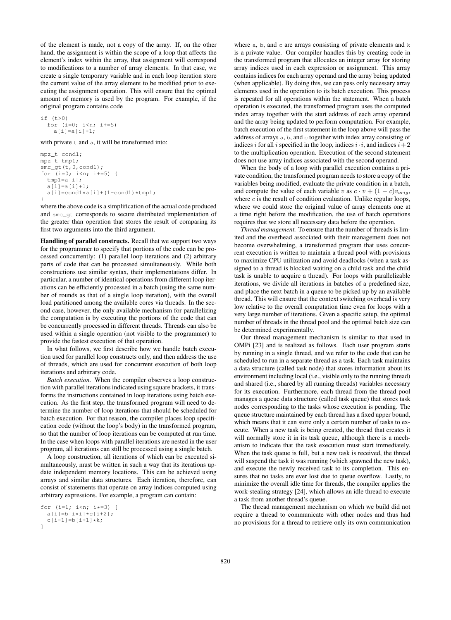of the element is made, not a copy of the array. If, on the other hand, the assignment is within the scope of a loop that affects the element's index within the array, that assignment will correspond to modifications to a number of array elements. In that case, we create a single temporary variable and in each loop iteration store the current value of the array element to be modified prior to executing the assignment operation. This will ensure that the optimal amount of memory is used by the program. For example, if the original program contains code

```
i f (t > 0)for (i=0; i < n; i+=5)a[i]=a[i]+1;
```
with private  $t$  and  $a$ , it will be transformed into:

```
mpz_t cond1;
mpz_t tmp1;
smc_gt(t,0,cond1);
for (i=0; i < n; i+=5) {
 tmp1=a[i];
 a[i]=a[i]+1;a[i]=cond1*a[i]+(1-cond1)*tmp1;}
```
where the above code is a simplification of the actual code produced and smc<sub>qt</sub> corresponds to secure distributed implementation of the greater than operation that stores the result of comparing its first two arguments into the third argument.

Handling of parallel constructs. Recall that we support two ways for the programmer to specify that portions of the code can be processed concurrently: (1) parallel loop iterations and (2) arbitrary parts of code that can be processed simultaneously. While both constructions use similar syntax, their implementations differ. In particular, a number of identical operations from different loop iterations can be efficiently processed in a batch (using the same number of rounds as that of a single loop iteration), with the overall load partitioned among the available cores via threads. In the second case, however, the only available mechanism for parallelizing the computation is by executing the portions of the code that can be concurrently processed in different threads. Threads can also be used within a single operation (not visible to the programmer) to provide the fastest execution of that operation.

In what follows, we first describe how we handle batch execution used for parallel loop constructs only, and then address the use of threads, which are used for concurrent execution of both loop iterations and arbitrary code.

*Batch execution.* When the compiler observes a loop construction with parallel iterations indicated using square brackets, it transforms the instructions contained in loop iterations using batch execution. As the first step, the transformed program will need to determine the number of loop iterations that should be scheduled for batch execution. For that reason, the compiler places loop specification code (without the loop's body) in the transformed program, so that the number of loop iterations can be computed at run time. In the case when loops with parallel iterations are nested in the user program, all iterations can still be processed using a single batch.

A loop construction, all iterations of which can be executed simultaneously, must be written in such a way that its iterations update independent memory locations. This can be achieved using arrays and similar data structures. Each iteration, therefore, can consist of statements that operate on array indices computed using arbitrary expressions. For example, a program can contain:

```
for (i=1; i < n; i < j > 3) [
  a[i]=b[i*1]*c[i+2];
  c[i-1]=b[i+1]*k;\begin{array}{c} \end{array}
```
where  $a$ ,  $b$ , and  $c$  are arrays consisting of private elements and  $k$ is a private value. Our compiler handles this by creating code in the transformed program that allocates an integer array for storing array indices used in each expression or assignment. This array contains indices for each array operand and the array being updated (when applicable). By doing this, we can pass only necessary array elements used in the operation to its batch execution. This process is repeated for all operations within the statement. When a batch operation is executed, the transformed program uses the computed index array together with the start address of each array operand and the array being updated to perform computation. For example, batch execution of the first statement in the loop above will pass the address of arrays a, b, and c together with index array consisting of indices i for all i specified in the loop, indices  $i \cdot i$ , and indices  $i+2$ to the multiplication operation. Execution of the second statement does not use array indices associated with the second operand.

When the body of a loop with parallel execution contains a private condition, the transformed program needs to store a copy of the variables being modified, evaluate the private condition in a batch, and compute the value of each variable v as  $c \cdot v + (1 - c)v_{orig}$ , where  $c$  is the result of condition evaluation. Unlike regular loops, where we could store the original value of array elements one at a time right before the modification, the use of batch operations requires that we store all necessary data before the operation.

*Thread management.* To ensure that the number of threads is limited and the overhead associated with their management does not become overwhelming, a transformed program that uses concurrent execution is written to maintain a thread pool with provisions to maximize CPU utilization and avoid deadlocks (when a task assigned to a thread is blocked waiting on a child task and the child task is unable to acquire a thread). For loops with parallelizable iterations, we divide all iterations in batches of a predefined size, and place the next batch in a queue to be picked up by an available thread. This will ensure that the context switching overhead is very low relative to the overall computation time even for loops with a very large number of iterations. Given a specific setup, the optimal number of threads in the thread pool and the optimal batch size can be determined experimentally.

Our thread management mechanism is similar to that used in OMPi [23] and is realized as follows. Each user program starts by running in a single thread, and we refer to the code that can be scheduled to run in a separate thread as a task. Each task maintains a data structure (called task node) that stores information about its environment including local (i.e., visible only to the running thread) and shared (i.e., shared by all running threads) variables necessary for its execution. Furthermore, each thread from the thread pool manages a queue data structure (called task queue) that stores task nodes corresponding to the tasks whose execution is pending. The queue structure maintained by each thread has a fixed upper bound, which means that it can store only a certain number of tasks to execute. When a new task is being created, the thread that creates it will normally store it in its task queue, although there is a mechanism to indicate that the task execution must start immediately. When the task queue is full, but a new task is received, the thread will suspend the task it was running (which spawned the new task), and execute the newly received task to its completion. This ensures that no tasks are ever lost due to queue overflow. Lastly, to minimize the overall idle time for threads, the compiler applies the work-stealing strategy [24], which allows an idle thread to execute a task from another thread's queue.

The thread management mechanism on which we build did not require a thread to communicate with other nodes and thus had no provisions for a thread to retrieve only its own communication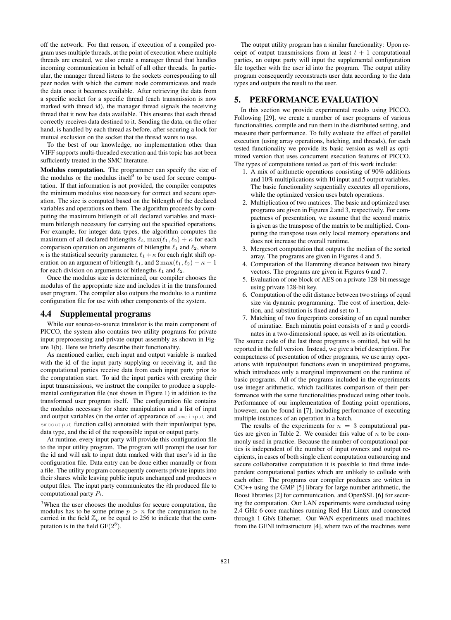off the network. For that reason, if execution of a compiled program uses multiple threads, at the point of execution where multiple threads are created, we also create a manager thread that handles incoming communication in behalf of all other threads. In particular, the manager thread listens to the sockets corresponding to all peer nodes with which the current node communicates and reads the data once it becomes available. After retrieving the data from a specific socket for a specific thread (each transmission is now marked with thread id), the manager thread signals the receiving thread that it now has data available. This ensures that each thread correctly receives data destined to it. Sending the data, on the other hand, is handled by each thread as before, after securing a lock for mutual exclusion on the socket that the thread wants to use.

To the best of our knowledge, no implementation other than VIFF supports multi-threaded execution and this topic has not been sufficiently treated in the SMC literature.

Modulus computation. The programmer can specify the size of the modulus or the modulus itself<sup>3</sup> to be used for secure computation. If that information is not provided, the compiler computes the minimum modulus size necessary for correct and secure operation. The size is computed based on the bitlength of the declared variables and operations on them. The algorithm proceeds by computing the maximum bitlength of all declared variables and maximum bitlength necessary for carrying out the specified operations. For example, for integer data types, the algorithm computes the maximum of all declared bitlengths  $\ell_i$ ,  $\max(\ell_1, \ell_2) + \kappa$  for each comparison operation on arguments of bitlengths  $\ell_1$  and  $\ell_2$ , where  $\kappa$  is the statistical security parameter,  $\ell_1 + \kappa$  for each right shift operation on an argument of bitlength  $\ell_1$ , and  $2 \max(\ell_1, \ell_2) + \kappa + 1$ for each division on arguments of bitlengths  $\ell_1$  and  $\ell_2$ .

Once the modulus size is determined, our compiler chooses the modulus of the appropriate size and includes it in the transformed user program. The compiler also outputs the modulus to a runtime configuration file for use with other components of the system.

## 4.4 Supplemental programs

While our source-to-source translator is the main component of PICCO, the system also contains two utility programs for private input preprocessing and private output assembly as shown in Figure 1(b). Here we briefly describe their functionality.

As mentioned earlier, each input and output variable is marked with the id of the input party supplying or receiving it, and the computational parties receive data from each input party prior to the computation start. To aid the input parties with creating their input transmissions, we instruct the compiler to produce a supplemental configuration file (not shown in Figure 1) in addition to the transformed user program itself. The configuration file contains the modulus necessary for share manipulation and a list of input and output variables (in the order of appearance of smcinput and smcoutput function calls) annotated with their input/output type, data type, and the id of the responsible input or output party.

At runtime, every input party will provide this configuration file to the input utility program. The program will prompt the user for the id and will ask to input data marked with that user's id in the configuration file. Data entry can be done either manually or from a file. The utility program consequently converts private inputs into their shares while leaving public inputs unchanged and produces  $n$ output files. The input party communicates the ith produced file to computational party  $P_i$ .

The output utility program has a similar functionality: Upon receipt of output transmissions from at least  $t + 1$  computational parties, an output party will input the supplemental configuration file together with the user id into the program. The output utility program consequently reconstructs user data according to the data types and outputs the result to the user.

#### 5. PERFORMANCE EVALUATION

In this section we provide experimental results using PICCO. Following [29], we create a number of user programs of various functionalities, compile and run them in the distributed setting, and measure their performance. To fully evaluate the effect of parallel execution (using array operations, batching, and threads), for each tested functionality we provide its basic version as well as optimized version that uses concurrent execution features of PICCO. The types of computations tested as part of this work include:

- 1. A mix of arithmetic operations consisting of 90% additions and 10% multiplications with 10 input and 5 output variables. The basic functionality sequentially executes all operations, while the optimized version uses batch operations.
- 2. Multiplication of two matrices. The basic and optimized user programs are given in Figures 2 and 3, respectively. For compactness of presentation, we assume that the second matrix is given as the transpose of the matrix to be multiplied. Computing the transpose uses only local memory operations and does not increase the overall runtime.
- 3. Mergesort computation that outputs the median of the sorted array. The programs are given in Figures 4 and 5.
- 4. Computation of the Hamming distance between two binary vectors. The programs are given in Figures 6 and 7.
- 5. Evaluation of one block of AES on a private 128-bit message using private 128-bit key.
- 6. Computation of the edit distance between two strings of equal size via dynamic programming. The cost of insertion, deletion, and substitution is fixed and set to 1.
- 7. Matching of two fingerprints consisting of an equal number of minutiae. Each minutia point consists of  $x$  and  $y$  coordinates in a two-dimensional space, as well as its orientation.

The source code of the last three programs is omitted, but will be reported in the full version. Instead, we give a brief description. For compactness of presentation of other programs, we use array operations with input/output functions even in unoptimized programs, which introduces only a marginal improvement on the runtime of basic programs. All of the programs included in the experiments use integer arithmetic, which facilitates comparison of their performance with the same functionalities produced using other tools. Performance of our implementation of floating point operations, however, can be found in [7], including performance of executing multiple instances of an operation in a batch.

The results of the experiments for  $n = 3$  computational parties are given in Table 2. We consider this value of  $n$  to be commonly used in practice. Because the number of computational parties is independent of the number of input owners and output recipients, in cases of both single client computation outsourcing and secure collaborative computation it is possible to find three independent computational parties which are unlikely to collude with each other. The programs our compiler produces are written in C/C++ using the GMP [5] library for large number arithmetic, the Boost libraries [2] for communication, and OpenSSL [6] for securing the computation. Our LAN experiments were conducted using 2.4 GHz 6-core machines running Red Hat Linux and connected through 1 Gb/s Ethernet. Our WAN experiments used machines from the GENI infrastructure [4], where two of the machines were

<sup>&</sup>lt;sup>3</sup>When the user chooses the modulus for secure computation, the modulus has to be some prime  $p > n$  for the computation to be carried in the field  $\mathbb{Z}_p$  or be equal to 256 to indicate that the computation is in the field  $GF(2^8)$ .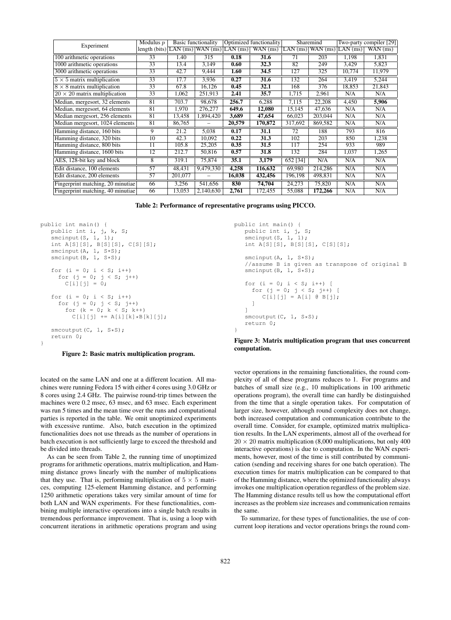| Experiment                           | Modulus $p$                                                                      |         | <b>Basic functionality</b> |        | Optimized functionality      |            | Sharemind  |            | Two-party compiler [29] |
|--------------------------------------|----------------------------------------------------------------------------------|---------|----------------------------|--------|------------------------------|------------|------------|------------|-------------------------|
|                                      | length (bits) $\overline{\text{LAN (ms)}}$ WAN (ms) $\overline{\text{LAN (ms)}}$ |         |                            |        | $\overline{\text{WAN}}$ (ms) | $LAN$ (ms) | $WAN$ (ms) | $LAN$ (ms) | $WAN$ (ms)              |
| 100 arithmetic operations            | 33                                                                               | 1.40    | 315                        | 0.18   | 31.6                         | 71         | 203        | 1.198      | 1.831                   |
| 1000 arithmetic operations           | 33                                                                               | 13.4    | 3,149                      | 0.60   | 32.3                         | 82         | 249        | 3,429      | 5,823                   |
| 3000 arithmetic operations           | 33                                                                               | 42.7    | 9,444                      | 1.60   | 34.5                         | 127        | 325        | 10,774     | 11,979                  |
| $5 \times 5$ matrix multiplication   | 33                                                                               | 17.7    | 3,936                      | 0.27   | 31.6                         | 132        | 264        | 3,419      | 5,244                   |
| $8 \times 8$ matrix multiplication   | $\overline{33}$                                                                  | 67.8    | 16,126                     | 0.45   | 32.1                         | 168        | 376        | 18,853     | 21,843                  |
| $20 \times 20$ matrix multiplication | 33                                                                               | 1,062   | 251,913                    | 2.41   | 35.7                         | 1,715      | 2,961      | N/A        | N/A                     |
| Median, mergesort, 32 elements       | 81                                                                               | 703.7   | 98.678                     | 256.7  | 6,288                        | 7.115      | 22,208     | 4,450      | 5,906                   |
| Median, mergesort, 64 elements       | 81                                                                               | 1,970   | 276,277                    | 649.6  | 12,080                       | 15,145     | 47,636     | N/A        | N/A                     |
| Median mergesort, 256 elements       | 81                                                                               | 13,458  | 1,894,420                  | 3,689  | 47,654                       | 66,023     | 203,044    | N/A        | N/A                     |
| Median mergesort, 1024 elements      | 81                                                                               | 86,765  | $\overline{\phantom{0}}$   | 20,579 | 170,872                      | 317,692    | 869,582    | N/A        | N/A                     |
| Hamming distance, 160 bits           | 9                                                                                | 21.2    | 5,038                      | 0.17   | 31.1                         | 72         | 188        | 793        | 816                     |
| Hamming distance, 320 bits           | 10                                                                               | 42.3    | 10,092                     | 0.22   | 31.3                         | 102        | 203        | 850        | 1,238                   |
| Hamming distance, 800 bits           | 11                                                                               | 105.8   | 25,205                     | 0.35   | 31.5                         | 117        | 254        | 933        | 989                     |
| Hamming distance, 1600 bits          | 12                                                                               | 212.7   | 50,816                     | 0.57   | 31.8                         | 132        | 284        | 1,037      | 1,265                   |
| AES, 128-bit key and block           | 8                                                                                | 319.1   | 75,874                     | 35.1   | 3,179                        | 652 [34]   | N/A        | N/A        | N/A                     |
| Edit distance, 100 elements          | 57                                                                               | 48,431  | 9,479,330                  | 4,258  | 116,632                      | 69,980     | 214,286    | N/A        | N/A                     |
| Edit distance, 200 elements          | 57                                                                               | 201,077 |                            | 16,038 | 432,456                      | 196,198    | 498,831    | N/A        | N/A                     |
| Fingerprint matching, 20 minutiae    | 66                                                                               | 3,256   | 541,656                    | 830    | 74,704                       | 24,273     | 75,820     | N/A        | N/A                     |
| Fingerprint matching, 40 minutiae    | 66                                                                               | 13,053  | 2,140,630                  | 2,761  | 172,455                      | 55,088     | 172,266    | N/A        | N/A                     |

Table 2: Performance of representative programs using PICCO.

}

```
public int main() {
  public int i, j, k, S;
   smcinput(S, 1, 1);
   int A[S][S], B[S][S], C[S][S];
   smcinput(A, 1, S*S);
   smcinput(B, 1, S*S);
   for (i = 0; i < S; i++)for (j = 0; j < S; j++)C[i][j] = 0;for (i = 0; i < S; i++)for (j = 0; j < S; j++)for (k = 0; k < S; k++)C[i][j] += A[i][k] *B[k][j];
   smcoutput(C, 1, S*S);
   return 0;
}
```
Figure 2: Basic matrix multiplication program.

located on the same LAN and one at a different location. All machines were running Fedora 15 with either 4 cores using 3.0 GHz or 8 cores using 2.4 GHz. The pairwise round-trip times between the machines were 0.2 msec, 63 msec, and 63 msec. Each experiment was run 5 times and the mean time over the runs and computational parties is reported in the table. We omit unoptimized experiments with excessive runtime. Also, batch execution in the optimized functionalities does not use threads as the number of operations in batch execution is not sufficiently large to exceed the threshold and be divided into threads.

As can be seen from Table 2, the running time of unoptimized programs for arithmetic operations, matrix multiplication, and Hamming distance grows linearly with the number of multiplications that they use. That is, performing multiplication of  $5 \times 5$  matrices, computing 125-element Hamming distance, and performing 1250 arithmetic operations takes very similar amount of time for both LAN and WAN experiments. For these functionalities, combining multiple interactive operations into a single batch results in tremendous performance improvement. That is, using a loop with concurrent iterations in arithmetic operations program and using

```
public int main() {
   public int i, j, S;
   smcinput(S, 1, 1);int A[S][S], B[S][S], C[S][S];
   smcinput(A, 1, S*S);
   //assume B is given as transpose of original B
   smcinput(B, 1, S*S;for (i = 0; i < S; i++) [
     for (j = 0; j < S; j++) [
        C[i][j] = A[i] \; @ \; B[j];]
   ]
   smcoutput(C, 1, S*S);
   return 0;
```
#### Figure 3: Matrix multiplication program that uses concurrent computation.

vector operations in the remaining functionalities, the round complexity of all of these programs reduces to 1. For programs and batches of small size (e.g., 10 multiplications in 100 arithmetic operations program), the overall time can hardly be distinguished from the time that a single operation takes. For computation of larger size, however, although round complexity does not change, both increased computation and communication contribute to the overall time. Consider, for example, optimized matrix multiplication results. In the LAN experiments, almost all of the overhead for  $20 \times 20$  matrix multiplication (8,000 multiplications, but only 400 interactive operations) is due to computation. In the WAN experiments, however, most of the time is still contributed by communication (sending and receiving shares for one batch operation). The execution times for matrix multiplication can be compared to that of the Hamming distance, where the optimized functionality always invokes one multiplication operation regardless of the problem size. The Hamming distance results tell us how the computational effort increases as the problem size increases and communication remains the same.

To summarize, for these types of functionalities, the use of concurrent loop iterations and vector operations brings the round com-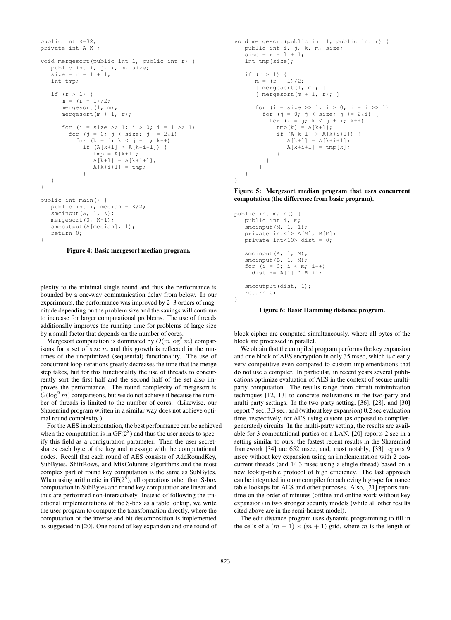```
public int K=32;
private int A[K];
void mergesort(public int l, public int r) {
   public int i, j, k, m, size;
   size = r - 1 + 1;
   int tmp;
   if (r > l) {
      m = (r + 1)/2;mergesort(l, m);
      mergesort(m + 1, r);for (i = size \gg 1; i > 0; i = i \gg 1)for (j = 0; j < size; j += 2 * i)
          for (k = j; k < j + i; k++)if (A[k+1] > A[k+i+1]) {
               tmp = A[k+1];A[k+1] = A[k+i+1];A[k+i+1] = \text{tmp};}
   }
}
public int main() {
   public int i, median = K/2;
   smcinput(A, 1, K);
   mergesort(0, K-1);
   smcoutput(A[median], 1);
   return 0;
}
```
Figure 4: Basic mergesort median program.

plexity to the minimal single round and thus the performance is bounded by a one-way communication delay from below. In our experiments, the performance was improved by 2–3 orders of magnitude depending on the problem size and the savings will continue to increase for larger computational problems. The use of threads additionally improves the running time for problems of large size by a small factor that depends on the number of cores.

Mergesort computation is dominated by  $O(m \log^2 m)$  comparisons for a set of size  $m$  and this growth is reflected in the runtimes of the unoptimized (sequential) functionality. The use of concurrent loop iterations greatly decreases the time that the merge step takes, but for this functionality the use of threads to concurrently sort the first half and the second half of the set also improves the performance. The round complexity of mergesort is  $O(\log^2 m)$  comparisons, but we do not achieve it because the number of threads is limited to the number of cores. (Likewise, our Sharemind program written in a similar way does not achieve optimal round complexity.)

For the AES implementation, the best performance can be achieved when the computation is in  $GF(2^8)$  and thus the user needs to specify this field as a configuration parameter. Then the user secretshares each byte of the key and message with the computational nodes. Recall that each round of AES consists of AddRoundKey, SubBytes, ShiftRows, and MixColumns algorithms and the most complex part of round key computation is the same as SubBytes. When using arithmetic in  $GF(2^8)$ , all operations other than S-box computation in SubBytes and round key computation are linear and thus are performed non-interactively. Instead of following the traditional implementations of the S-box as a table lookup, we write the user program to compute the transformation directly, where the computation of the inverse and bit decomposition is implemented as suggested in [20]. One round of key expansion and one round of

```
void mergesort(public int l, public int r) {
   public int i, j, k, m, size;
   size = r - 1 + 1;int tmp[size];
   if (r > l) {
      m = (r + 1)/2;[ mergesort (1, m); ]
      [ mergesort(m + 1, r);for (i = size \gg 1; i > 0; i = i \gg 1)for (j = 0; j < size; j += 2 * i) [
          for (k = j; k < j + i; k++) [
            tmp[k] = A[k+1];if (A[k+l] > A[k+i+l]) {
               A[k+1] = A[k+i+1];
               A[k+i+1] = \text{tmp}[k];}
         ]
      \overline{1}}
}
```
Figure 5: Mergesort median program that uses concurrent computation (the difference from basic program).

```
public int main() {
   public int i, M;
   smcinput(M, 1, 1);
   private int<1> A[M], B[M];
   private int<10> dist = 0;
   smcinput(A, 1, M);
   smcinput(B, 1, M);
   for (i = 0; i < M; i++)dist += A[i] \wedge B[i];smcoutput(dist, 1);
   return 0;
}
```
#### Figure 6: Basic Hamming distance program.

block cipher are computed simultaneously, where all bytes of the block are processed in parallel.

We obtain that the compiled program performs the key expansion and one block of AES encryption in only 35 msec, which is clearly very competitive even compared to custom implementations that do not use a compiler. In particular, in recent years several publications optimize evaluation of AES in the context of secure multiparty computation. The results range from circuit minimization techniques [12, 13] to concrete realizations in the two-party and multi-party settings. In the two-party setting, [36], [28], and [30] report 7 sec, 3.3 sec, and (without key expansion) 0.2 sec evaluation time, respectively, for AES using custom (as opposed to compilergenerated) circuits. In the multi-party setting, the results are available for 3 computational parties on a LAN. [20] reports 2 sec in a setting similar to ours, the fastest recent results in the Sharemind framework [34] are 652 msec, and, most notably, [33] reports 9 msec without key expansion using an implementation with 2 concurrent threads (and 14.3 msec using a single thread) based on a new lookup-table protocol of high efficiency. The last approach can be integrated into our compiler for achieving high-performance table lookups for AES and other purposes. Also, [21] reports runtime on the order of minutes (offline and online work without key expansion) in two stronger security models (while all other results cited above are in the semi-honest model).

The edit distance program uses dynamic programming to fill in the cells of a  $(m + 1) \times (m + 1)$  grid, where m is the length of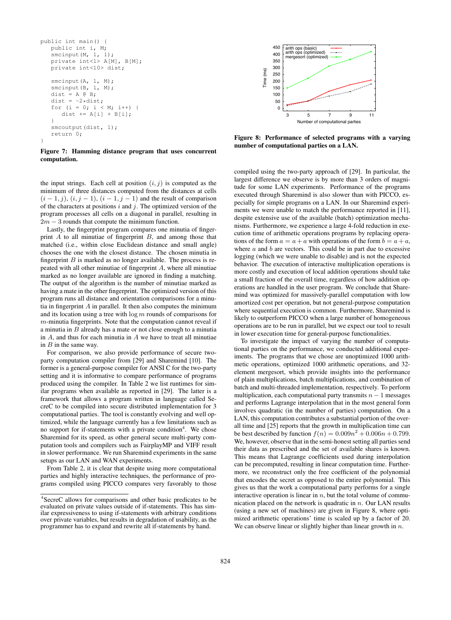```
public int main() {
   public int i, M;
   smcinput(M, 1, 1);
   private int<1> A[M], B[M];
   private int<10> dist;
   smcinput(A, 1, M);
   smcinput(B, 1, M);
   dist = A \theta B;dist = -2*dist;
   for (i = 0; i < M; i++) {
      dist += A[i] + B[i];}
   smcoutput(dist, 1);
   return 0;
}
```
Figure 7: Hamming distance program that uses concurrent computation.

the input strings. Each cell at position  $(i, j)$  is computed as the minimum of three distances computed from the distances at cells  $(i - 1, j)$ ,  $(i, j - 1)$ ,  $(i - 1, j - 1)$  and the result of comparison of the characters at positions  $i$  and  $j$ . The optimized version of the program processes all cells on a diagonal in parallel, resulting in  $2m - 3$  rounds that compute the minimum function.

Lastly, the fingerprint program compares one minutia of fingerprint  $A$  to all minutiae of fingerprint  $B$ , and among those that matched (i.e., within close Euclidean distance and small angle) chooses the one with the closest distance. The chosen minutia in fingerprint  $B$  is marked as no longer available. The process is repeated with all other minutiae of fingerprint A, where all minutiae marked as no longer available are ignored in finding a matching. The output of the algorithm is the number of minutiae marked as having a mate in the other fingerprint. The optimized version of this program runs all distance and orientation comparisons for a minutia in fingerprint  $A$  in parallel. It then also computes the minimum and its location using a tree with  $\log m$  rounds of comparisons for  $m$ -minutia fingerprints. Note that the computation cannot reveal if a minutia in B already has a mate or not close enough to a minutia in  $A$ , and thus for each minutia in  $A$  we have to treat all minutiae in  $B$  in the same way.

For comparison, we also provide performance of secure twoparty computation compiler from [29] and Sharemind [10]. The former is a general-purpose compiler for ANSI C for the two-party setting and it is informative to compare performance of programs produced using the compiler. In Table 2 we list runtimes for similar programs when available as reported in [29]. The latter is a framework that allows a program written in language called SecreC to be compiled into secure distributed implementation for 3 computational parties. The tool is constantly evolving and well optimized, while the language currently has a few limitations such as no support for if-statements with a private condition<sup>4</sup>. We chose Sharemind for its speed, as other general secure multi-party computation tools and compilers such as FairplayMP and VIFF result in slower performance. We run Sharemind experiments in the same setups as our LAN and WAN experiments.

From Table 2, it is clear that despite using more computational parties and highly interactive techniques, the performance of programs compiled using PICCO compares very favorably to those



Figure 8: Performance of selected programs with a varying number of computational parties on a LAN.

compiled using the two-party approach of [29]. In particular, the largest difference we observe is by more than 3 orders of magnitude for some LAN experiments. Performance of the programs executed through Sharemind is also slower than with PICCO, especially for simple programs on a LAN. In our Sharemind experiments we were unable to match the performance reported in [11], despite extensive use of the available (batch) optimization mechanisms. Furthermore, we experience a large 4-fold reduction in execution time of arithmetic operations programs by replacing operations of the form  $a = a + a$  with operations of the form  $b = a + a$ , where  $a$  and  $b$  are vectors. This could be in part due to excessive logging (which we were unable to disable) and is not the expected behavior. The execution of interactive multiplication operations is more costly and execution of local addition operations should take a small fraction of the overall time, regardless of how addition operations are handled in the user program. We conclude that Sharemind was optimized for massively-parallel computation with low amortized cost per operation, but not general-purpose computation where sequential execution is common. Furthermore, Sharemind is likely to outperform PICCO when a large number of homogeneous operations are to be run in parallel, but we expect our tool to result in lower execution time for general-purpose functionalities.

To investigate the impact of varying the number of computational parties on the performance, we conducted additional experiments. The programs that we chose are unoptimized 1000 arithmetic operations, optimized 1000 arithmetic operations, and 32 element mergesort, which provide insights into the performance of plain multiplications, batch multiplications, and combination of batch and multi-threaded implementation, respectively. To perform multiplication, each computational party transmits  $n - 1$  messages and performs Lagrange interpolation that in the most general form involves quadratic (in the number of parties) computation. On a LAN, this computation contributes a substantial portion of the overall time and [25] reports that the growth in multiplication time can be best described by function  $f(n) = 0.009n^2 + 0.006n + 0.799$ . We, however, observe that in the semi-honest setting all parties send their data as prescribed and the set of available shares is known. This means that Lagrange coefficients used during interpolation can be precomputed, resulting in linear computation time. Furthermore, we reconstruct only the free coefficient of the polynomial that encodes the secret as opposed to the entire polynomial. This gives us that the work a computational party performs for a single interactive operation is linear in  $n$ , but the total volume of communication placed on the network is quadratic in  $n$ . Our LAN results (using a new set of machines) are given in Figure 8, where optimized arithmetic operations' time is scaled up by a factor of 20. We can observe linear or slightly higher than linear growth in  $n$ .

<sup>4</sup> SecreC allows for comparisons and other basic predicates to be evaluated on private values outside of if-statements. This has similar expressiveness to using if-statements with arbitrary conditions over private variables, but results in degradation of usability, as the programmer has to expand and rewrite all if-statements by hand.